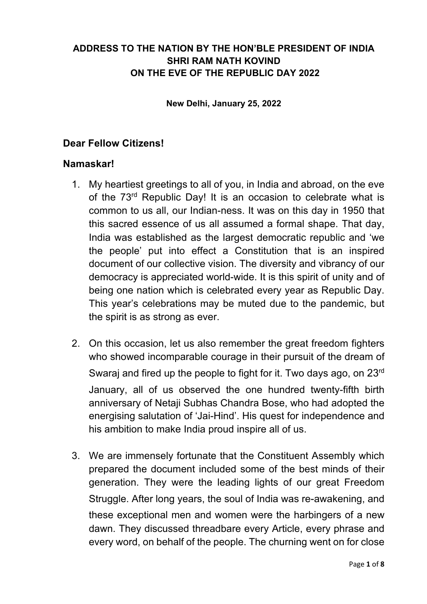# **ADDRESS TO THE NATION BY THE HON'BLE PRESIDENT OF INDIA SHRI RAM NATH KOVIND ON THE EVE OF THE REPUBLIC DAY 2022**

**New Delhi, January 25, 2022**

### **Dear Fellow Citizens!**

#### **Namaskar!**

- 1. My heartiest greetings to all of you, in India and abroad, on the eve of the 73rd Republic Day! It is an occasion to celebrate what is common to us all, our Indian-ness. It was on this day in 1950 that this sacred essence of us all assumed a formal shape. That day, India was established as the largest democratic republic and 'we the people' put into effect a Constitution that is an inspired document of our collective vision. The diversity and vibrancy of our democracy is appreciated world-wide. It is this spirit of unity and of being one nation which is celebrated every year as Republic Day. This year's celebrations may be muted due to the pandemic, but the spirit is as strong as ever.
- 2. On this occasion, let us also remember the great freedom fighters who showed incomparable courage in their pursuit of the dream of Swaraj and fired up the people to fight for it. Two days ago, on 23rd January, all of us observed the one hundred twenty-fifth birth anniversary of Netaji Subhas Chandra Bose, who had adopted the energising salutation of 'Jai-Hind'. His quest for independence and his ambition to make India proud inspire all of us.
- 3. We are immensely fortunate that the Constituent Assembly which prepared the document included some of the best minds of their generation. They were the leading lights of our great Freedom Struggle. After long years, the soul of India was re-awakening, and these exceptional men and women were the harbingers of a new dawn. They discussed threadbare every Article, every phrase and every word, on behalf of the people. The churning went on for close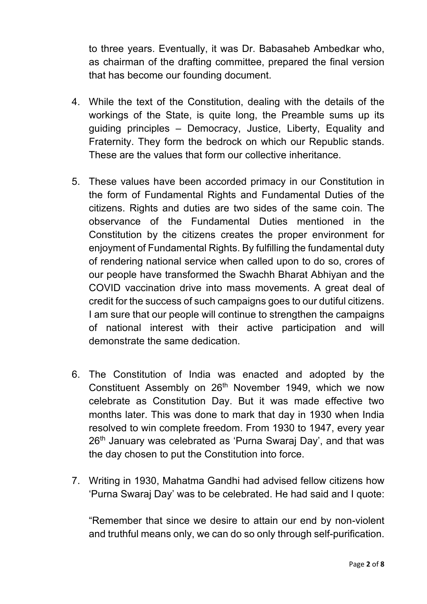to three years. Eventually, it was Dr. Babasaheb Ambedkar who, as chairman of the drafting committee, prepared the final version that has become our founding document.

- 4. While the text of the Constitution, dealing with the details of the workings of the State, is quite long, the Preamble sums up its guiding principles – Democracy, Justice, Liberty, Equality and Fraternity. They form the bedrock on which our Republic stands. These are the values that form our collective inheritance.
- 5. These values have been accorded primacy in our Constitution in the form of Fundamental Rights and Fundamental Duties of the citizens. Rights and duties are two sides of the same coin. The observance of the Fundamental Duties mentioned in the Constitution by the citizens creates the proper environment for enjoyment of Fundamental Rights. By fulfilling the fundamental duty of rendering national service when called upon to do so, crores of our people have transformed the Swachh Bharat Abhiyan and the COVID vaccination drive into mass movements. A great deal of credit for the success of such campaigns goes to our dutiful citizens. I am sure that our people will continue to strengthen the campaigns of national interest with their active participation and will demonstrate the same dedication.
- 6. The Constitution of India was enacted and adopted by the Constituent Assembly on 26<sup>th</sup> November 1949, which we now celebrate as Constitution Day. But it was made effective two months later. This was done to mark that day in 1930 when India resolved to win complete freedom. From 1930 to 1947, every year 26<sup>th</sup> January was celebrated as 'Purna Swaraj Day', and that was the day chosen to put the Constitution into force.
- 7. Writing in 1930, Mahatma Gandhi had advised fellow citizens how 'Purna Swaraj Day' was to be celebrated. He had said and I quote:

"Remember that since we desire to attain our end by non-violent and truthful means only, we can do so only through self-purification.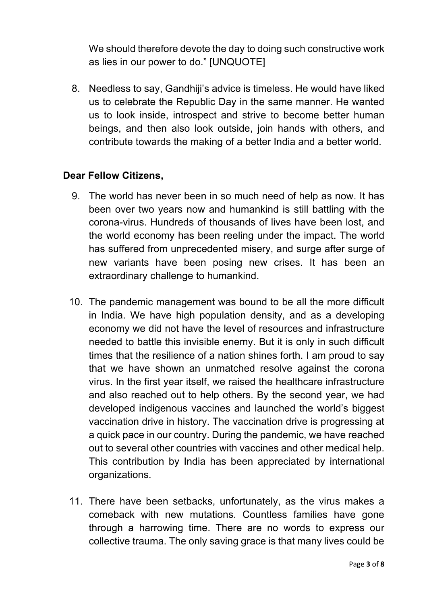We should therefore devote the day to doing such constructive work as lies in our power to do." [UNQUOTE]

8. Needless to say, Gandhiji's advice is timeless. He would have liked us to celebrate the Republic Day in the same manner. He wanted us to look inside, introspect and strive to become better human beings, and then also look outside, join hands with others, and contribute towards the making of a better India and a better world.

# **Dear Fellow Citizens,**

- 9. The world has never been in so much need of help as now. It has been over two years now and humankind is still battling with the corona-virus. Hundreds of thousands of lives have been lost, and the world economy has been reeling under the impact. The world has suffered from unprecedented misery, and surge after surge of new variants have been posing new crises. It has been an extraordinary challenge to humankind.
- 10. The pandemic management was bound to be all the more difficult in India. We have high population density, and as a developing economy we did not have the level of resources and infrastructure needed to battle this invisible enemy. But it is only in such difficult times that the resilience of a nation shines forth. I am proud to say that we have shown an unmatched resolve against the corona virus. In the first year itself, we raised the healthcare infrastructure and also reached out to help others. By the second year, we had developed indigenous vaccines and launched the world's biggest vaccination drive in history. The vaccination drive is progressing at a quick pace in our country. During the pandemic, we have reached out to several other countries with vaccines and other medical help. This contribution by India has been appreciated by international organizations.
- 11. There have been setbacks, unfortunately, as the virus makes a comeback with new mutations. Countless families have gone through a harrowing time. There are no words to express our collective trauma. The only saving grace is that many lives could be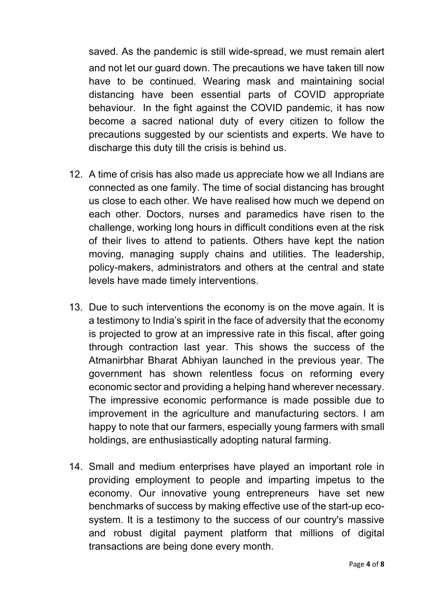saved. As the pandemic is still wide-spread, we must remain alert and not let our guard down. The precautions we have taken till now have to be continued. Wearing mask and maintaining social distancing have been essential parts of COVID appropriate behaviour. In the fight against the COVID pandemic, it has now become a sacred national duty of every citizen to follow the precautions suggested by our scientists and experts. We have to discharge this duty till the crisis is behind us.

- 12. A time of crisis has also made us appreciate how we all Indians are connected as one family. The time of social distancing has brought us close to each other. We have realised how much we depend on each other. Doctors, nurses and paramedics have risen to the challenge, working long hours in difficult conditions even at the risk of their lives to attend to patients. Others have kept the nation moving, managing supply chains and utilities. The leadership, policy-makers, administrators and others at the central and state levels have made timely interventions.
- 13. Due to such interventions the economy is on the move again. It is a testimony to India's spirit in the face of adversity that the economy is projected to grow at an impressive rate in this fiscal, after going through contraction last year. This shows the success of the Atmanirbhar Bharat Abhiyan launched in the previous year. The government has shown relentless focus on reforming every economic sector and providing a helping hand wherever necessary. The impressive economic performance is made possible due to improvement in the agriculture and manufacturing sectors. I am happy to note that our farmers, especially young farmers with small holdings, are enthusiastically adopting natural farming.
- 14. Small and medium enterprises have played an important role in providing employment to people and imparting impetus to the economy. Our innovative young entrepreneurs have set new benchmarks of success by making effective use of the start-up ecosystem. It is a testimony to the success of our country's massive and robust digital payment platform that millions of digital transactions are being done every month.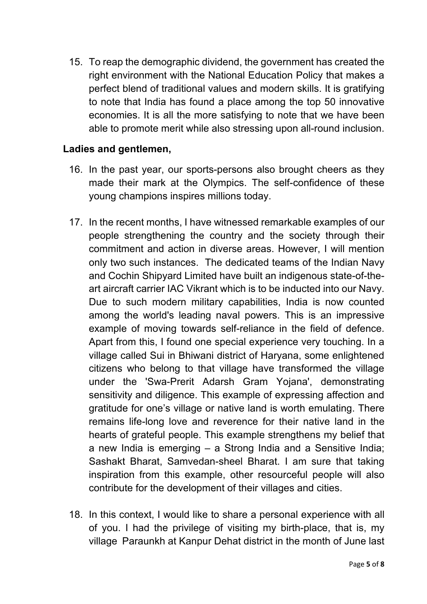15. To reap the demographic dividend, the government has created the right environment with the National Education Policy that makes a perfect blend of traditional values and modern skills. It is gratifying to note that India has found a place among the top 50 innovative economies. It is all the more satisfying to note that we have been able to promote merit while also stressing upon all-round inclusion.

## **Ladies and gentlemen,**

- 16. In the past year, our sports-persons also brought cheers as they made their mark at the Olympics. The self-confidence of these young champions inspires millions today.
- 17. In the recent months, I have witnessed remarkable examples of our people strengthening the country and the society through their commitment and action in diverse areas. However, I will mention only two such instances. The dedicated teams of the Indian Navy and Cochin Shipyard Limited have built an indigenous state-of-theart aircraft carrier IAC Vikrant which is to be inducted into our Navy. Due to such modern military capabilities, India is now counted among the world's leading naval powers. This is an impressive example of moving towards self-reliance in the field of defence. Apart from this, I found one special experience very touching. In a village called Sui in Bhiwani district of Haryana, some enlightened citizens who belong to that village have transformed the village under the 'Swa-Prerit Adarsh Gram Yojana', demonstrating sensitivity and diligence. This example of expressing affection and gratitude for one's village or native land is worth emulating. There remains life-long love and reverence for their native land in the hearts of grateful people. This example strengthens my belief that a new India is emerging – a Strong India and a Sensitive India; Sashakt Bharat, Samvedan-sheel Bharat. I am sure that taking inspiration from this example, other resourceful people will also contribute for the development of their villages and cities.
- 18. In this context, I would like to share a personal experience with all of you. I had the privilege of visiting my birth-place, that is, my village Paraunkh at Kanpur Dehat district in the month of June last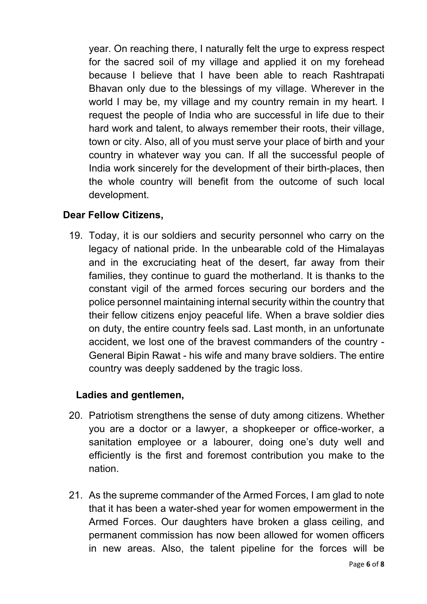year. On reaching there, I naturally felt the urge to express respect for the sacred soil of my village and applied it on my forehead because I believe that I have been able to reach Rashtrapati Bhavan only due to the blessings of my village. Wherever in the world I may be, my village and my country remain in my heart. I request the people of India who are successful in life due to their hard work and talent, to always remember their roots, their village, town or city. Also, all of you must serve your place of birth and your country in whatever way you can. If all the successful people of India work sincerely for the development of their birth-places, then the whole country will benefit from the outcome of such local development.

## **Dear Fellow Citizens,**

19. Today, it is our soldiers and security personnel who carry on the legacy of national pride. In the unbearable cold of the Himalayas and in the excruciating heat of the desert, far away from their families, they continue to guard the motherland. It is thanks to the constant vigil of the armed forces securing our borders and the police personnel maintaining internal security within the country that their fellow citizens enjoy peaceful life. When a brave soldier dies on duty, the entire country feels sad. Last month, in an unfortunate accident, we lost one of the bravest commanders of the country - General Bipin Rawat - his wife and many brave soldiers. The entire country was deeply saddened by the tragic loss.

### **Ladies and gentlemen,**

- 20. Patriotism strengthens the sense of duty among citizens. Whether you are a doctor or a lawyer, a shopkeeper or office-worker, a sanitation employee or a labourer, doing one's duty well and efficiently is the first and foremost contribution you make to the nation.
- 21. As the supreme commander of the Armed Forces, I am glad to note that it has been a water-shed year for women empowerment in the Armed Forces. Our daughters have broken a glass ceiling, and permanent commission has now been allowed for women officers in new areas. Also, the talent pipeline for the forces will be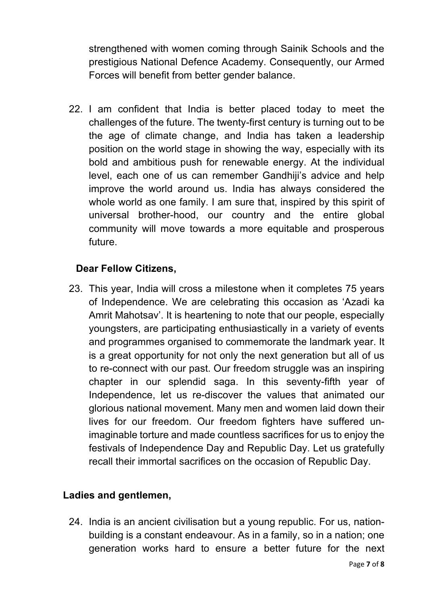strengthened with women coming through Sainik Schools and the prestigious National Defence Academy. Consequently, our Armed Forces will benefit from better gender balance.

22. I am confident that India is better placed today to meet the challenges of the future. The twenty-first century is turning out to be the age of climate change, and India has taken a leadership position on the world stage in showing the way, especially with its bold and ambitious push for renewable energy. At the individual level, each one of us can remember Gandhiji's advice and help improve the world around us. India has always considered the whole world as one family. I am sure that, inspired by this spirit of universal brother-hood, our country and the entire global community will move towards a more equitable and prosperous future.

## **Dear Fellow Citizens,**

23. This year, India will cross a milestone when it completes 75 years of Independence. We are celebrating this occasion as 'Azadi ka Amrit Mahotsav'. It is heartening to note that our people, especially youngsters, are participating enthusiastically in a variety of events and programmes organised to commemorate the landmark year. It is a great opportunity for not only the next generation but all of us to re-connect with our past. Our freedom struggle was an inspiring chapter in our splendid saga. In this seventy-fifth year of Independence, let us re-discover the values that animated our glorious national movement. Many men and women laid down their lives for our freedom. Our freedom fighters have suffered unimaginable torture and made countless sacrifices for us to enjoy the festivals of Independence Day and Republic Day. Let us gratefully recall their immortal sacrifices on the occasion of Republic Day.

### **Ladies and gentlemen,**

24. India is an ancient civilisation but a young republic. For us, nationbuilding is a constant endeavour. As in a family, so in a nation; one generation works hard to ensure a better future for the next